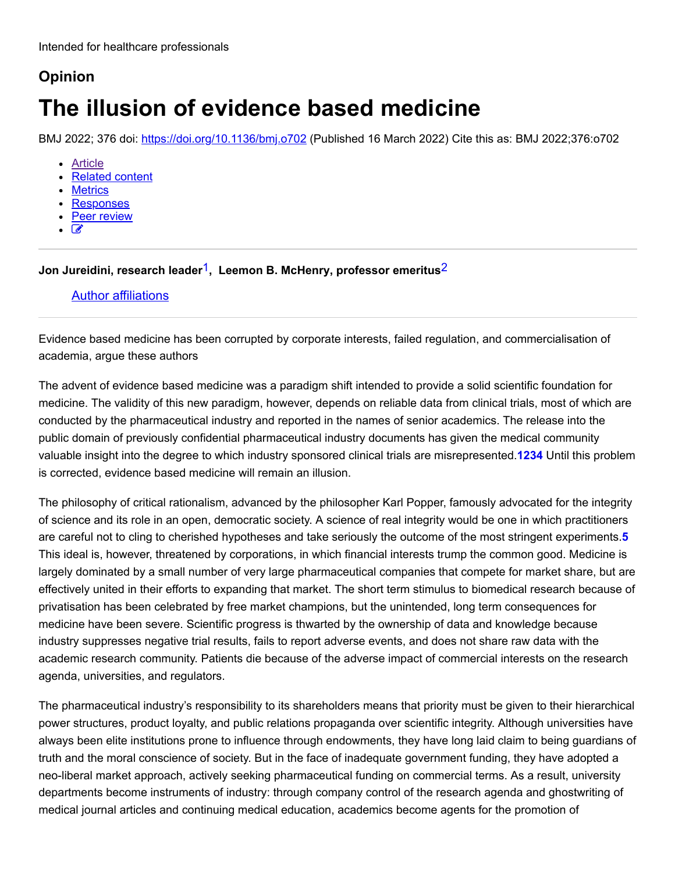## <span id="page-0-5"></span>**Opinion**

# **The illusion of evidence based medicine**

BMJ 2022; 376 doi:<https://doi.org/10.1136/bmj.o702> (Published 16 March 2022) Cite this as: BMJ 2022;376:o702

- [Article](https://www.bmj.com/content/376/bmj.o702)
- **[Related content](https://www.bmj.com/content/376/bmj.o702/related)**
- [Metrics](https://www.bmj.com/content/376/bmj.o702/article-info)
- **[Responses](https://www.bmj.com/content/376/bmj.o702/rapid-responses)**
- [Peer review](https://www.bmj.com/content/376/bmj.o702/peer-review)
- $\bullet$   $\bullet$

### **Jon Jureidini, research leader**1**, Leemon B. McHenry, professor emeritus**2

### <span id="page-0-3"></span><span id="page-0-2"></span><span id="page-0-1"></span><span id="page-0-0"></span>Author affiliations

Evidence based medicine has been corrupted by corporate interests, failed regulation, and commercialisation of academia, argue these authors

The advent of evidence based medicine was a paradigm shift intended to provide a solid scientific foundation for medicine. The validity of this new paradigm, however, depends on reliable data from clinical trials, most of which are conducted by the pharmaceutical industry and reported in the names of senior academics. The release into the public domain of previously confidential pharmaceutical industry documents has given the medical community valuable insight into the degree to which industry sponsored clinical trials are misrepresented.**[1](#page-2-0)[2](#page-2-1)[3](#page-2-2)[4](#page-2-3)** Until this problem is corrected, evidence based medicine will remain an illusion.

<span id="page-0-4"></span>The philosophy of critical rationalism, advanced by the philosopher Karl Popper, famously advocated for the integrity of science and its role in an open, democratic society. A science of real integrity would be one in which practitioners are careful not to cling to cherished hypotheses and take seriously the outcome of the most stringent experiments.**[5](#page-2-4)** This ideal is, however, threatened by corporations, in which financial interests trump the common good. Medicine is largely dominated by a small number of very large pharmaceutical companies that compete for market share, but are effectively united in their efforts to expanding that market. The short term stimulus to biomedical research because of privatisation has been celebrated by free market champions, but the unintended, long term consequences for medicine have been severe. Scientific progress is thwarted by the ownership of data and knowledge because industry suppresses negative trial results, fails to report adverse events, and does not share raw data with the academic research community. Patients die because of the adverse impact of commercial interests on the research agenda, universities, and regulators.

The pharmaceutical industry's responsibility to its shareholders means that priority must be given to their hierarchical power structures, product loyalty, and public relations propaganda over scientific integrity. Although universities have always been elite institutions prone to influence through endowments, they have long laid claim to being guardians of truth and the moral conscience of society. But in the face of inadequate government funding, they have adopted a neo-liberal market approach, actively seeking pharmaceutical funding on commercial terms. As a result, university departments become instruments of industry: through company control of the research agenda and ghostwriting of medical journal articles and continuing medical education, academics become agents for the promotion of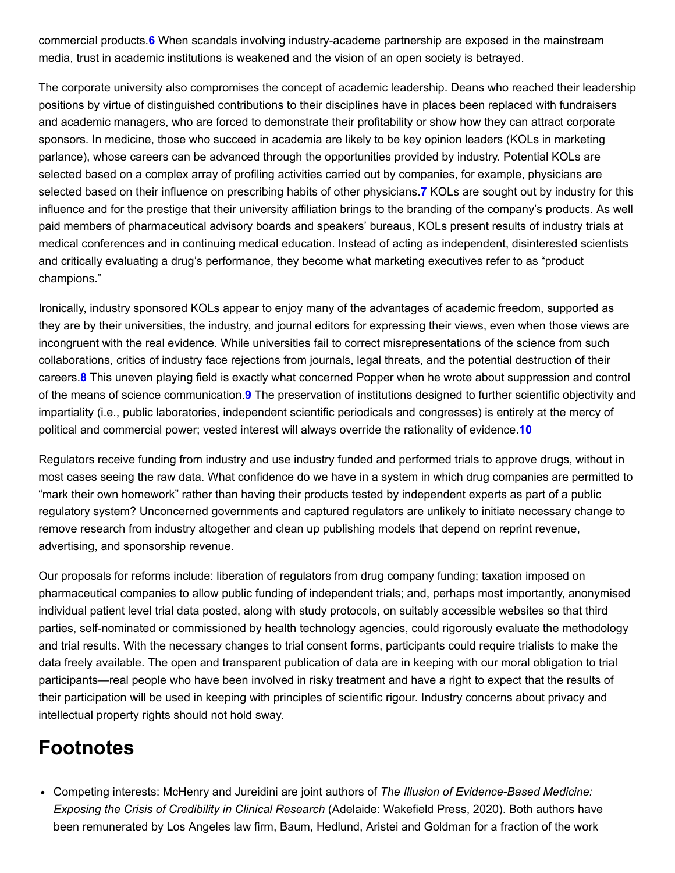<span id="page-1-0"></span>commercial products.**[6](#page-2-5)** When scandals involving industry-academe partnership are exposed in the mainstream media, trust in academic institutions is weakened and the vision of an open society is betrayed.

<span id="page-1-1"></span>The corporate university also compromises the concept of academic leadership. Deans who reached their leadership positions by virtue of distinguished contributions to their disciplines have in places been replaced with fundraisers and academic managers, who are forced to demonstrate their profitability or show how they can attract corporate sponsors. In medicine, those who succeed in academia are likely to be key opinion leaders (KOLs in marketing parlance), whose careers can be advanced through the opportunities provided by industry. Potential KOLs are selected based on a complex array of profiling activities carried out by companies, for example, physicians are selected based on their influence on prescribing habits of other physicians.**[7](#page-2-6)** KOLs are sought out by industry for this influence and for the prestige that their university affiliation brings to the branding of the company's products. As well paid members of pharmaceutical advisory boards and speakers' bureaus, KOLs present results of industry trials at medical conferences and in continuing medical education. Instead of acting as independent, disinterested scientists and critically evaluating a drug's performance, they become what marketing executives refer to as "product champions."

<span id="page-1-2"></span>Ironically, industry sponsored KOLs appear to enjoy many of the advantages of academic freedom, supported as they are by their universities, the industry, and journal editors for expressing their views, even when those views are incongruent with the real evidence. While universities fail to correct misrepresentations of the science from such collaborations, critics of industry face rejections from journals, legal threats, and the potential destruction of their careers.**[8](#page-2-7)** This uneven playing field is exactly what concerned Popper when he wrote about suppression and control of the means of science communication.**[9](#page-2-8)** The preservation of institutions designed to further scientific objectivity and impartiality (i.e., public laboratories, independent scientific periodicals and congresses) is entirely at the mercy of political and commercial power; vested interest will always override the rationality of evidence.**[10](#page-2-9)**

<span id="page-1-4"></span><span id="page-1-3"></span>Regulators receive funding from industry and use industry funded and performed trials to approve drugs, without in most cases seeing the raw data. What confidence do we have in a system in which drug companies are permitted to "mark their own homework" rather than having their products tested by independent experts as part of a public regulatory system? Unconcerned governments and captured regulators are unlikely to initiate necessary change to remove research from industry altogether and clean up publishing models that depend on reprint revenue, advertising, and sponsorship revenue.

Our proposals for reforms include: liberation of regulators from drug company funding; taxation imposed on pharmaceutical companies to allow public funding of independent trials; and, perhaps most importantly, anonymised individual patient level trial data posted, along with study protocols, on suitably accessible websites so that third parties, self-nominated or commissioned by health technology agencies, could rigorously evaluate the methodology and trial results. With the necessary changes to trial consent forms, participants could require trialists to make the data freely available. The open and transparent publication of data are in keeping with our moral obligation to trial participants—real people who have been involved in risky treatment and have a right to expect that the results of their participation will be used in keeping with principles of scientific rigour. Industry concerns about privacy and intellectual property rights should not hold sway.

## **Footnotes**

Competing interests: McHenry and Jureidini are joint authors of *The Illusion of Evidence-Based Medicine: Exposing the Crisis of Credibility in Clinical Research* (Adelaide: Wakefield Press, 2020). Both authors have been remunerated by Los Angeles law firm, Baum, Hedlund, Aristei and Goldman for a fraction of the work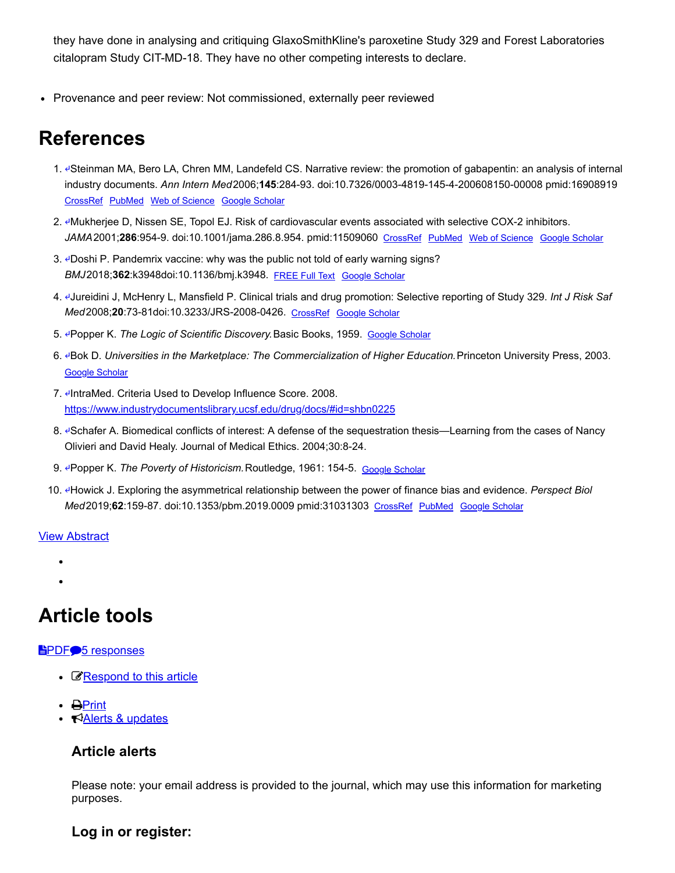they have done in analysing and critiquing GlaxoSmithKline's paroxetine Study 329 and Forest Laboratories citalopram Study CIT-MD-18. They have no other competing interests to declare.

Provenance and peer review: Not commissioned, externally peer reviewed

## **References**

- <span id="page-2-0"></span>1. <sup>⊌</sup>Steinman MA, Bero LA, Chren MM, Landefeld CS. Narrative review: the promotion of gabapentin: an analysis of internal industry documents. *Ann Intern Med*2006;**145**:284-93. doi:10.7326/0003-4819-145-4-200608150-00008 pmid:16908919 [CrossRef](https://www.bmj.com/lookup/external-ref?access_num=10.7326/0003-4819-145-4-200608150-00008&link_type=DOI) [PubMed](https://www.bmj.com/lookup/external-ref?access_num=16908919&link_type=MED&atom=%2Fbmj%2F376%2Fbmj.o702.atom) Web of [Science](https://www.bmj.com/lookup/external-ref?access_num=000239858800006&link_type=ISI) Google [Scholar](https://www.bmj.com/lookup/google-scholar?link_type=googlescholar&gs_type=article&author[0]=MA+Steinman&author[1]=LA+Bero&author[2]=MM+Chren&author[3]=CS+Landefeld&title=Narrative+review:+the+promotion+of+gabapentin:+an+analysis+of+internal+industry+documents&publication_year=2006&journal=Ann+Intern+Med&volume=145&pages=284-93)
- <span id="page-2-1"></span>2. ⊌Mukherjee D, Nissen SE, Topol EJ. Risk of cardiovascular events associated with selective COX-2 inhibitors. *JAMA*2001;**286**:954-9. doi:10.1001/jama.286.8.954. pmid:11509060 [CrossRef](https://www.bmj.com/lookup/external-ref?access_num=10.1001/jama.286.8.954&link_type=DOI) [PubMed](https://www.bmj.com/lookup/external-ref?access_num=11509060&link_type=MED&atom=%2Fbmj%2F376%2Fbmj.o702.atom) Web of [Science](https://www.bmj.com/lookup/external-ref?access_num=000170577300030&link_type=ISI) Google [Scholar](https://www.bmj.com/lookup/google-scholar?link_type=googlescholar&gs_type=article&author[0]=D+Mukherjee&author[1]=SE+Nissen&author[2]=EJ+Topol&title=Risk+of+cardiovascular+events+associated+with+selective+COX-2+inhibitors&publication_year=2001&journal=JAMA&volume=286&pages=954-9)
- <span id="page-2-2"></span>3. [↵](#page-0-2)Doshi P. Pandemrix vaccine: why was the public not told of early warning signs? *BMJ*2018;**362**:k3948doi:10.1136/bmj.k3948. [FREE](https://www.bmj.com/lookup/ijlink/YTozOntzOjQ6InBhdGgiO3M6MTQ6Ii9sb29rdXAvaWpsaW5rIjtzOjU6InF1ZXJ5IjthOjQ6e3M6ODoibGlua1R5cGUiO3M6NDoiRlVMTCI7czoxMToiam91cm5hbENvZGUiO3M6MzoiYm1qIjtzOjU6InJlc2lkIjtzOjE4OiIzNjIvc2VwMjBfMTIvazM5NDgiO3M6NDoiYXRvbSI7czoyMjoiL2Jtai8zNzYvYm1qLm83MDIuYXRvbSI7fXM6ODoiZnJhZ21lbnQiO3M6MDoiIjt9) Full Text Google [Scholar](https://www.bmj.com/lookup/google-scholar?link_type=googlescholar&gs_type=article&author[0]=P+Doshi&title=Pandemrix+vaccine:+why+was+the+public+not+told+of+early+warning+signs?&publication_year=2018&journal=BMJ&volume=362)
- <span id="page-2-3"></span>4. [↵](#page-0-3)Jureidini J, McHenry L, Mansfield P. Clinical trials and drug promotion: Selective reporting of Study 329. *Int J Risk Saf Med*2008;**20**:73-81doi:10.3233/JRS-2008-0426. [CrossRef](https://www.bmj.com/lookup/external-ref?access_num=10.3233/JRS-2008-0426&link_type=DOI) Google [Scholar](https://www.bmj.com/lookup/google-scholar?link_type=googlescholar&gs_type=article&author[0]=J+Jureidini&author[1]=L+McHenry&author[2]=P+Mansfield&title=Clinical+trials+and+drug+promotion:+Selective+reporting+of+Study+329&publication_year=2008&journal=Int+J+Risk+Saf+Med&volume=20&pages=73-81)
- <span id="page-2-4"></span>5. [↵](#page-0-4)Popper K. *The Logic of Scientific Discovery.*Basic Books, 1959. Google [Scholar](https://www.bmj.com/lookup/google-scholar?link_type=googlescholar&gs_type=article&q_txt=.+The+Logic+of+Scientific+Discovery.Basic+Books%2C+1959.)
- <span id="page-2-5"></span>6. [↵](#page-1-0)Bok D. *Universities in the Marketplace: The Commercialization of Higher Education.*Princeton University Press, 2003. Google [Scholar](https://www.bmj.com/lookup/google-scholar?link_type=googlescholar&gs_type=article&q_txt=.+Universities+in+the+Marketplace%3A+The+Commercialization+of+Higher+Education.Princeton+University+Press%2C+2003.)
- <span id="page-2-6"></span>7. [↵](#page-1-1)IntraMed. Criteria Used to Develop Influence Score. 2008. <https://www.industrydocumentslibrary.ucsf.edu/drug/docs/#id=shbn0225>
- <span id="page-2-7"></span>8. [↵](#page-1-2)Schafer A. Biomedical conflicts of interest: A defense of the sequestration thesis—Learning from the cases of Nancy Olivieri and David Healy. Journal of Medical Ethics. 2004;30:8-24.
- <span id="page-2-8"></span>9. [↵](#page-1-3)Popper K. *The Poverty of Historicism.*Routledge, 1961: 154-5. Google [Scholar](https://www.bmj.com/lookup/google-scholar?link_type=googlescholar&gs_type=article&q_txt=.+The+Poverty+of+Historicism.Routledge%2C+1961%3A+154-5.)
- <span id="page-2-9"></span>10. [↵](#page-1-4)Howick J. Exploring the asymmetrical relationship between the power of finance bias and evidence. *Perspect Biol Med*2019;**62**:159-87. doi:10.1353/pbm.2019.0009 pmid:31031303 [CrossRef](https://www.bmj.com/lookup/external-ref?access_num=10.1353/pbm.2019.0009&link_type=DOI) [PubMed](https://www.bmj.com/lookup/external-ref?access_num=31031303&link_type=MED&atom=%2Fbmj%2F376%2Fbmj.o702.atom) Google [Scholar](https://www.bmj.com/lookup/google-scholar?link_type=googlescholar&gs_type=article&author[0]=J+Howick&title=Exploring+the+asymmetrical+relationship+between+the+power+of+finance+bias+and+evidence&publication_year=2019&journal=Perspect+Biol+Med&volume=62&pages=159-87)

#### **[View Abstract](https://www.bmj.com/content/376/bmj.o702.abstract)**

- 
- 

## **Article tools**

#### **E[PDF](https://www.bmj.com/content/376/bmj.o702.full.pdf)**<sup>5</sup> responses

- **[Respond to this article](https://www.bmj.com/content/376/bmj.o702/submit-a-rapid-response)**
- <del>D</del>[Print](https://www.bmj.com/content/376/bmj.o702.full-text.print)
- **T[Alerts & updates](https://www.bmj.com/#mini-panel-jnl-bmj-article-page-alerts-1)**

### **Article alerts**

Please note: your email address is provided to the journal, which may use this information for marketing purposes.

### **Log in or register:**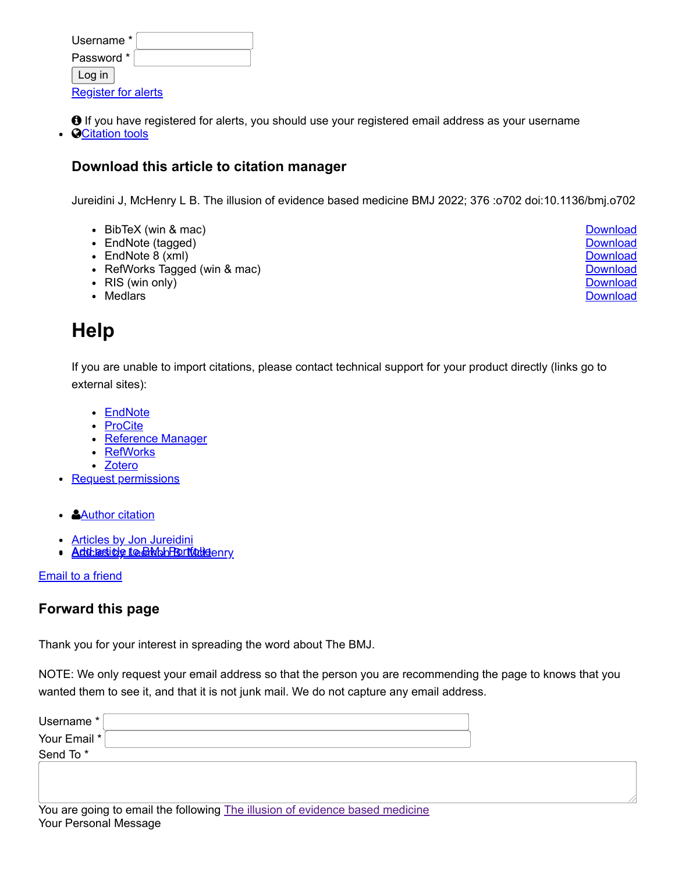| Username *                 |  |
|----------------------------|--|
| Password *                 |  |
| Log in                     |  |
| <b>Register for alerts</b> |  |

 $\bullet$  If you have registered for alerts, you should use your registered email address as your username • ©[Citation tools](https://www.bmj.com/#mini-panel-article-page-citation-download-1)

### **Download this article to citation manager**

Jureidini J, McHenry L B. The illusion of evidence based medicine BMJ 2022; 376 :o702 doi:10.1136/bmj.o702

- BibTeX (win & mac)
- EndNote (tagged)
- EndNote 8 (xml)
- RefWorks Tagged (win & mac)
- RIS (win only)
- Medlars

## **Help**

If you are unable to import citations, please contact technical support for your product directly (links go to external sites):

- **[EndNote](http://www.endnote.com/support/ensupport.asp)**
- [ProCite](http://www.procite.com/support/pcsupport.asp)
- [Reference](http://www.refman.com/support/rmsupport.asp) Manager
- [RefWorks](http://www.refworks.com/content/products/content.asp)
- [Zotero](http://www.zotero.org/support)
- [Request permissions](https://s100.copyright.com/AppDispatchServlet?publisherName=BMJ&publication=bmj&title=The%20illusion%20of%20evidence%20based%20medicine&publicationDate=03/16/2022&author=Jon%20Jureidini%2C%20Leemon%20B.%20McHenry&contentID=10.1136/bmj.o702&volumeNum=376&issueNum=&startPage=&endPage=©right=BMJ%20Publishing%20Group%20Ltd&oa=n&orderBeanReset=1&link_type=PERMISSIONDIRECT&atom=/bmj/376/bmj.o702.atom)
- **[Author citation](https://www.bmj.com/#mini-panel-jnl-bmj-article-page-citation)**
- **[Articles by Jon Jureidini](https://www.ncbi.nlm.nih.gov/sites/entrez?cmd=search&db=pubmed&term=Jureidini%20Jon%5Bau%5D&dispmax=50)**
- · Add assigle to BMbh Portfolio enry

#### **[Email to a friend](https://www.bmj.com/#mini-panel-jnl-bmj-article-button-email-to-1)**

### **Forward this page**

Thank you for your interest in spreading the word about The BMJ.

NOTE: We only request your email address so that the person you are recommending the page to knows that you wanted them to see it, and that it is not junk mail. We do not capture any email address.

| Username *   |  |
|--------------|--|
| Your Email * |  |
| Send To*     |  |
|              |  |
|              |  |

[Download](https://www.bmj.com/highwire/citation/1066240/bibtext) **[Download](https://www.bmj.com/highwire/citation/1066240/endnote-tagged) [Download](https://www.bmj.com/highwire/citation/1066240/endnote-8-xml) [Download](https://www.bmj.com/highwire/citation/1066240/refworks-tagged) [Download](https://www.bmj.com/highwire/citation/1066240/ris) [Download](https://www.bmj.com/highwire/citation/1066240/medlars)**